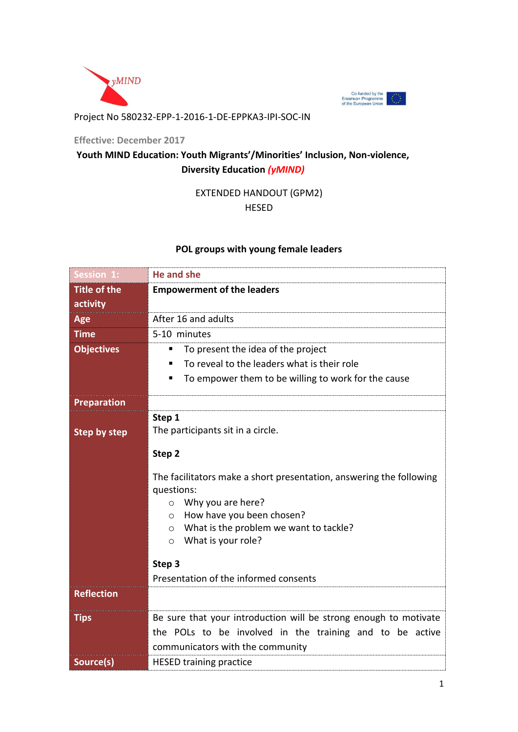



## Project No 580232-EPP-1-2016-1-DE-EPPKA3-IPI-SOC-IN

**Effective: December 2017**

# **Youth MIND Education: Youth Migrants'/Minorities' Inclusion, Non-violence, Diversity Education** *(yMIND)*

# EXTENDED HANDOUT (GPM2)

HESED

# **POL groups with young female leaders**

| <b>Session 1:</b>   | <b>He and she</b>                                                                  |
|---------------------|------------------------------------------------------------------------------------|
| <b>Title of the</b> | <b>Empowerment of the leaders</b>                                                  |
| activity            |                                                                                    |
| Age                 | After 16 and adults                                                                |
| <b>Time</b>         | 5-10 minutes                                                                       |
| <b>Objectives</b>   | To present the idea of the project<br>٠                                            |
|                     | To reveal to the leaders what is their role<br>٠                                   |
|                     | To empower them to be willing to work for the cause<br>٠                           |
| <b>Preparation</b>  |                                                                                    |
|                     | Step 1                                                                             |
| <b>Step by step</b> | The participants sit in a circle.                                                  |
|                     | Step 2                                                                             |
|                     | The facilitators make a short presentation, answering the following<br>questions:  |
|                     | Why you are here?<br>$\circ$                                                       |
|                     | How have you been chosen?<br>$\circ$                                               |
|                     | What is the problem we want to tackle?<br>$\circ$<br>What is your role?<br>$\circ$ |
|                     |                                                                                    |
|                     | Step 3                                                                             |
|                     | Presentation of the informed consents                                              |
| <b>Reflection</b>   |                                                                                    |
| <b>Tips</b>         | Be sure that your introduction will be strong enough to motivate                   |
|                     | the POLs to be involved in the training and to be active                           |
|                     | communicators with the community                                                   |
| Source(s)           | <b>HESED training practice</b>                                                     |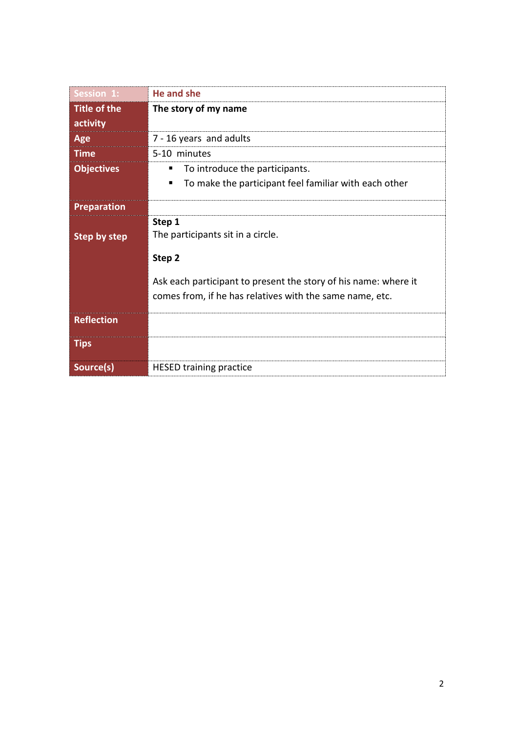| <b>Session 1:</b>   | He and she                                                      |
|---------------------|-----------------------------------------------------------------|
| <b>Title of the</b> | The story of my name                                            |
| activity            |                                                                 |
| Age                 | 7 - 16 years and adults                                         |
| <b>Time</b>         | 5-10 minutes                                                    |
| <b>Objectives</b>   | To introduce the participants.<br>п                             |
|                     | To make the participant feel familiar with each other<br>п      |
| <b>Preparation</b>  |                                                                 |
|                     | Step 1                                                          |
| <b>Step by step</b> | The participants sit in a circle.                               |
|                     | Step 2                                                          |
|                     | Ask each participant to present the story of his name: where it |
|                     | comes from, if he has relatives with the same name, etc.        |
| <b>Reflection</b>   |                                                                 |
| <b>Tips</b>         |                                                                 |
| Source(s)           | <b>HESED training practice</b>                                  |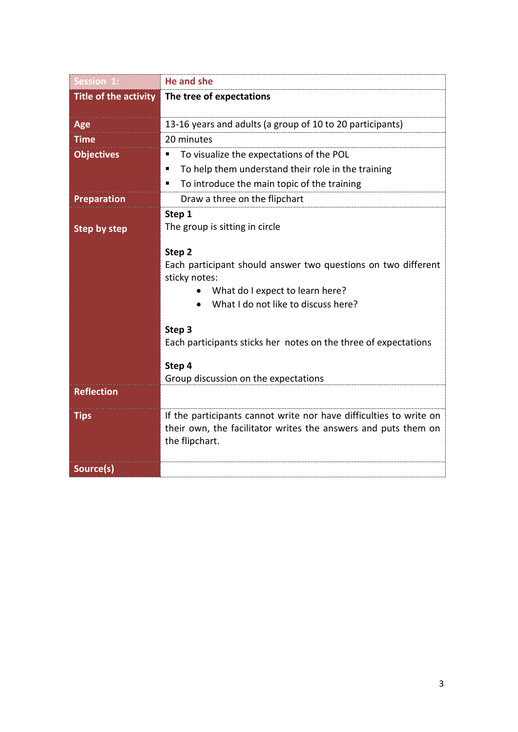| Session 1:            | He and she                                                                                                                                                         |
|-----------------------|--------------------------------------------------------------------------------------------------------------------------------------------------------------------|
| Title of the activity | The tree of expectations                                                                                                                                           |
|                       |                                                                                                                                                                    |
| Age                   | 13-16 years and adults (a group of 10 to 20 participants)                                                                                                          |
| <b>Time</b>           | 20 minutes                                                                                                                                                         |
| <b>Objectives</b>     | To visualize the expectations of the POL<br>п                                                                                                                      |
|                       | To help them understand their role in the training<br>п                                                                                                            |
|                       | To introduce the main topic of the training<br>٠                                                                                                                   |
| <b>Preparation</b>    | Draw a three on the flipchart                                                                                                                                      |
|                       | Step 1                                                                                                                                                             |
| <b>Step by step</b>   | The group is sitting in circle                                                                                                                                     |
|                       | Step 2<br>Each participant should answer two questions on two different<br>sticky notes:<br>What do I expect to learn here?<br>What I do not like to discuss here? |
|                       | Step 3                                                                                                                                                             |
|                       | Each participants sticks her notes on the three of expectations                                                                                                    |
|                       | Step 4                                                                                                                                                             |
|                       | Group discussion on the expectations                                                                                                                               |
| <b>Reflection</b>     |                                                                                                                                                                    |
| <b>Tips</b>           | If the participants cannot write nor have difficulties to write on<br>their own, the facilitator writes the answers and puts them on<br>the flipchart.             |
| Source(s)             |                                                                                                                                                                    |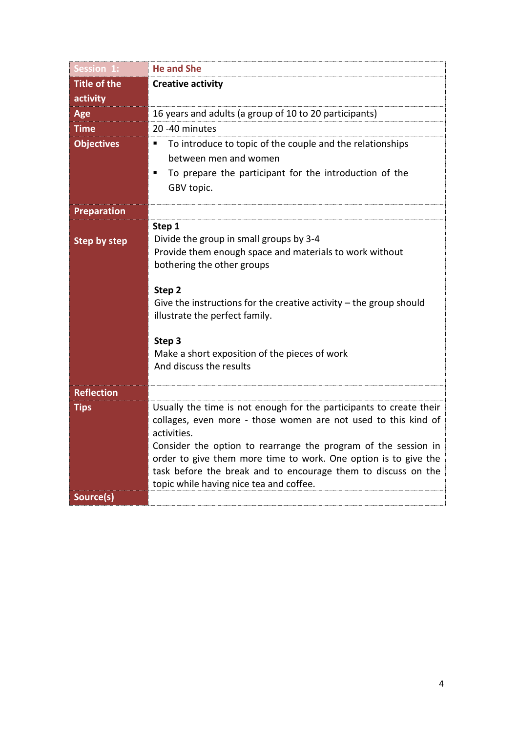| Session 1:          | <b>He and She</b>                                                                                                                                                                                                                                                                                                                                                                                     |
|---------------------|-------------------------------------------------------------------------------------------------------------------------------------------------------------------------------------------------------------------------------------------------------------------------------------------------------------------------------------------------------------------------------------------------------|
| <b>Title of the</b> | <b>Creative activity</b>                                                                                                                                                                                                                                                                                                                                                                              |
| activity            |                                                                                                                                                                                                                                                                                                                                                                                                       |
| Age                 | 16 years and adults (a group of 10 to 20 participants)                                                                                                                                                                                                                                                                                                                                                |
| <b>Time</b>         | 20 -40 minutes                                                                                                                                                                                                                                                                                                                                                                                        |
| <b>Objectives</b>   | To introduce to topic of the couple and the relationships<br>п<br>between men and women                                                                                                                                                                                                                                                                                                               |
|                     | To prepare the participant for the introduction of the<br>GBV topic.                                                                                                                                                                                                                                                                                                                                  |
| <b>Preparation</b>  |                                                                                                                                                                                                                                                                                                                                                                                                       |
| <b>Step by step</b> | Step 1<br>Divide the group in small groups by 3-4<br>Provide them enough space and materials to work without<br>bothering the other groups<br>Step 2<br>Give the instructions for the creative activity $-$ the group should<br>illustrate the perfect family.                                                                                                                                        |
|                     | Step 3<br>Make a short exposition of the pieces of work<br>And discuss the results                                                                                                                                                                                                                                                                                                                    |
| <b>Reflection</b>   |                                                                                                                                                                                                                                                                                                                                                                                                       |
| <b>Tips</b>         | Usually the time is not enough for the participants to create their<br>collages, even more - those women are not used to this kind of<br>activities.<br>Consider the option to rearrange the program of the session in<br>order to give them more time to work. One option is to give the<br>task before the break and to encourage them to discuss on the<br>topic while having nice tea and coffee. |
| Source(s)           |                                                                                                                                                                                                                                                                                                                                                                                                       |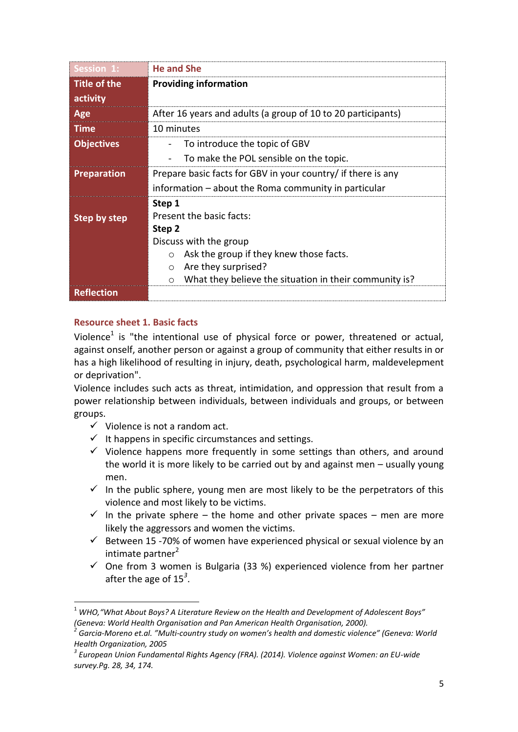| Session 1:                      | <b>He and She</b>                                                                                                                                                                                                                   |
|---------------------------------|-------------------------------------------------------------------------------------------------------------------------------------------------------------------------------------------------------------------------------------|
| <b>Title of the</b><br>activity | <b>Providing information</b>                                                                                                                                                                                                        |
| Age                             | After 16 years and adults (a group of 10 to 20 participants)                                                                                                                                                                        |
| Time                            | 10 minutes                                                                                                                                                                                                                          |
| <b>Objectives</b>               | To introduce the topic of GBV                                                                                                                                                                                                       |
|                                 | To make the POL sensible on the topic.                                                                                                                                                                                              |
| <b>Preparation</b>              | Prepare basic facts for GBV in your country/ if there is any                                                                                                                                                                        |
|                                 | information – about the Roma community in particular                                                                                                                                                                                |
| <b>Step by step</b>             | Step 1<br>Present the basic facts:<br>Step 2<br>Discuss with the group<br>Ask the group if they knew those facts.<br>$\circ$<br>Are they surprised?<br>$\circ$<br>What they believe the situation in their community is?<br>$\circ$ |
| <b>Reflection</b>               |                                                                                                                                                                                                                                     |

# **Resource sheet 1. Basic facts**

**.** 

Violence<sup>1</sup> is "the intentional use of physical force or power, threatened or actual, against onself, another person or against a group of community that either results in or has a high likelihood of resulting in injury, death, psychological harm, maldevelepment or deprivation".

Violence includes such acts as threat, intimidation, and oppression that result from a power relationship between individuals, between individuals and groups, or between groups.

- $\checkmark$  Violence is not a random act.
- $\checkmark$  It happens in specific circumstances and settings.
- $\checkmark$  Violence happens more frequently in some settings than others, and around the world it is more likely to be carried out by and against men – usually young men.
- $\checkmark$  In the public sphere, young men are most likely to be the perpetrators of this violence and most likely to be victims.
- $\checkmark$  In the private sphere the home and other private spaces men are more likely the aggressors and women the victims.
- $\checkmark$  Between 15 -70% of women have experienced physical or sexual violence by an  $intimate$  partner $<sup>2</sup>$ </sup>
- $\checkmark$  One from 3 women is Bulgaria (33 %) experienced violence from her partner after the age of 15*<sup>3</sup>* .

<sup>1</sup> *WHO,"What About Boys? A Literature Review on the Health and Development of Adolescent Boys" (Geneva: World Health Organisation and Pan American Health Organisation, 2000).*

*<sup>2</sup> Garcia-Moreno et.al. "Multi-country study on women's health and domestic violence" (Geneva: World Health Organization, 2005*

*<sup>3</sup> European Union Fundamental Rights Agency (FRA). (2014). Violence against Women: an EU-wide survey.Pg. 28, 34, 174.*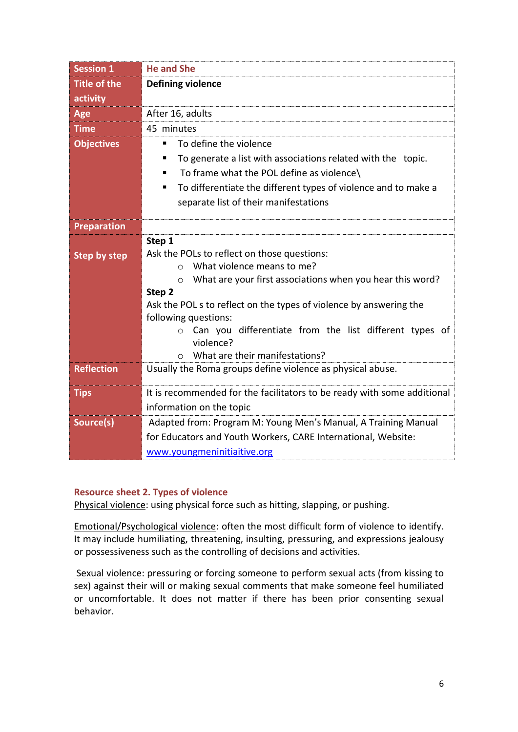| <b>Session 1</b>                | <b>He and She</b>                                                              |
|---------------------------------|--------------------------------------------------------------------------------|
| <b>Title of the</b><br>activity | <b>Defining violence</b>                                                       |
| Age                             | After 16, adults                                                               |
| <b>Time</b>                     | 45 minutes                                                                     |
| <b>Objectives</b>               | To define the violence<br>٠                                                    |
|                                 | To generate a list with associations related with the topic.<br>٠              |
|                                 | To frame what the POL define as violence\<br>٠                                 |
|                                 | To differentiate the different types of violence and to make a<br>٠            |
|                                 | separate list of their manifestations                                          |
| <b>Preparation</b>              |                                                                                |
|                                 | Step 1                                                                         |
| <b>Step by step</b>             | Ask the POLs to reflect on those questions:                                    |
|                                 | What violence means to me?<br>$\bigcap$                                        |
|                                 | What are your first associations when you hear this word?<br>$\circ$<br>Step 2 |
|                                 | Ask the POL s to reflect on the types of violence by answering the             |
|                                 | following questions:                                                           |
|                                 | Can you differentiate from the list different types of<br>$\circ$              |
|                                 | violence?                                                                      |
|                                 | What are their manifestations?<br>$\bigcirc$                                   |
| <b>Reflection</b>               | Usually the Roma groups define violence as physical abuse.                     |
| <b>Tips</b>                     | It is recommended for the facilitators to be ready with some additional        |
|                                 | information on the topic                                                       |
| Source(s)                       | Adapted from: Program M: Young Men's Manual, A Training Manual                 |
|                                 | for Educators and Youth Workers, CARE International, Website:                  |
|                                 | www.youngmeninitiaitive.org                                                    |

## **Resource sheet 2. Types of violence**

Physical violence: using physical force such as hitting, slapping, or pushing.

Emotional/Psychological violence: often the most difficult form of violence to identify. It may include humiliating, threatening, insulting, pressuring, and expressions jealousy or possessiveness such as the controlling of decisions and activities.

Sexual violence: pressuring or forcing someone to perform sexual acts (from kissing to sex) against their will or making sexual comments that make someone feel humiliated or uncomfortable. It does not matter if there has been prior consenting sexual behavior.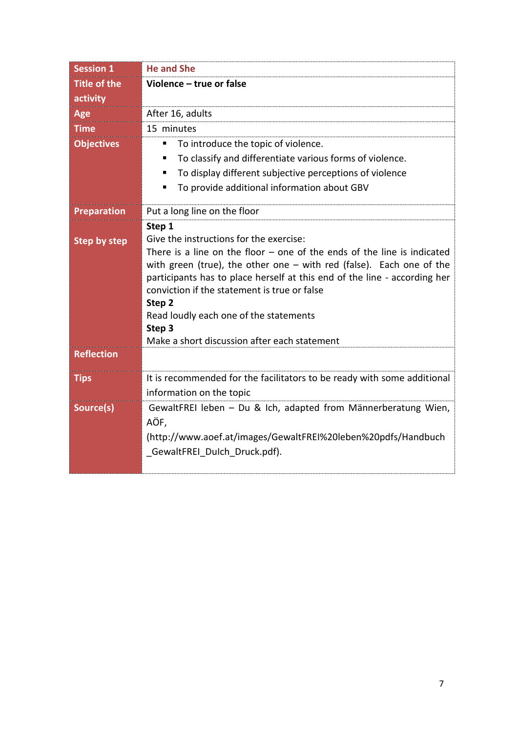| <b>Session 1</b>                         | <b>He and She</b>                                                                                                                                                                                                                                                                                                                                                                                                                                   |
|------------------------------------------|-----------------------------------------------------------------------------------------------------------------------------------------------------------------------------------------------------------------------------------------------------------------------------------------------------------------------------------------------------------------------------------------------------------------------------------------------------|
| <b>Title of the</b>                      | Violence - true or false                                                                                                                                                                                                                                                                                                                                                                                                                            |
| activity                                 |                                                                                                                                                                                                                                                                                                                                                                                                                                                     |
| Age                                      | After 16, adults                                                                                                                                                                                                                                                                                                                                                                                                                                    |
| <b>Time</b>                              | 15 minutes                                                                                                                                                                                                                                                                                                                                                                                                                                          |
| <b>Objectives</b>                        | To introduce the topic of violence.<br>٠                                                                                                                                                                                                                                                                                                                                                                                                            |
|                                          | To classify and differentiate various forms of violence.<br>٠                                                                                                                                                                                                                                                                                                                                                                                       |
|                                          | To display different subjective perceptions of violence<br>п                                                                                                                                                                                                                                                                                                                                                                                        |
|                                          | To provide additional information about GBV<br>٠                                                                                                                                                                                                                                                                                                                                                                                                    |
| Preparation                              | Put a long line on the floor                                                                                                                                                                                                                                                                                                                                                                                                                        |
| <b>Step by step</b><br><b>Reflection</b> | Step 1<br>Give the instructions for the exercise:<br>There is a line on the floor $-$ one of the ends of the line is indicated<br>with green (true), the other one $-$ with red (false). Each one of the<br>participants has to place herself at this end of the line - according her<br>conviction if the statement is true or false<br>Step 2<br>Read loudly each one of the statements<br>Step 3<br>Make a short discussion after each statement |
| <b>Tips</b>                              | It is recommended for the facilitators to be ready with some additional                                                                                                                                                                                                                                                                                                                                                                             |
|                                          | information on the topic                                                                                                                                                                                                                                                                                                                                                                                                                            |
| Source(s)                                | GewaltFREI leben - Du & Ich, adapted from Männerberatung Wien,<br>AÖF,<br>(http://www.aoef.at/images/GewaltFREI%20leben%20pdfs/Handbuch<br>GewaltFREI Dulch Druck.pdf).                                                                                                                                                                                                                                                                             |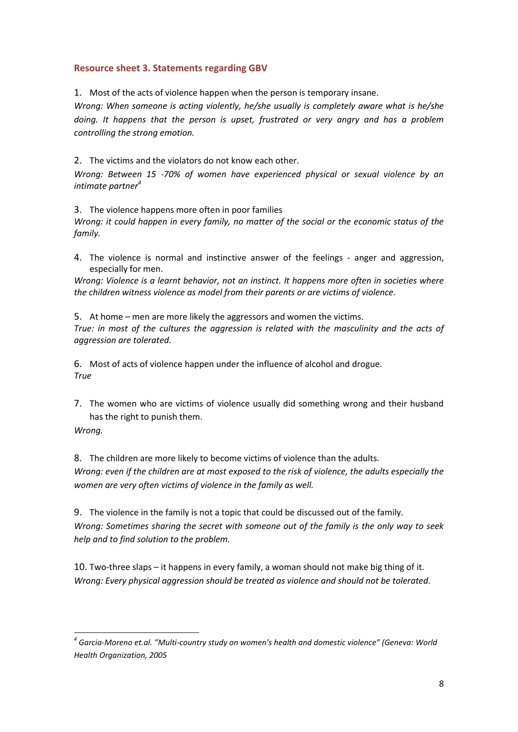## **Resource sheet 3. Statements regarding GBV**

1. Most of the acts of violence happen when the person is temporary insane.

*Wrong: When someone is acting violently, he/she usually is completely aware what is he/she doing. It happens that the person is upset, frustrated or very angry and has a problem controlling the strong emotion.* 

2. The victims and the violators do not know each other.

*Wrong: Between 15 -70% of women have experienced physical or sexual violence by an intimate partner<sup>4</sup>*

3. The violence happens more often in poor families

*Wrong: it could happen in every family, no matter of the social or the economic status of the family.*

4. The violence is normal and instinctive answer of the feelings - anger and aggression, especially for men.

*Wrong: Violence is a learnt behavior, not an instinct. It happens more often in societies where the children witness violence as model from their parents or are victims of violence.*

5. At home – men are more likely the aggressors and women the victims. *True: in most of the cultures the aggression is related with the masculinity and the acts of aggression are tolerated.* 

6. Most of acts of violence happen under the influence of alcohol and drogue. *True*

7. The women who are victims of violence usually did something wrong and their husband has the right to punish them.

*Wrong.*

**.** 

8. The children are more likely to become victims of violence than the adults. *Wrong: even if the children are at most exposed to the risk of violence, the adults especially the women are very often victims of violence in the family as well.*

9. The violence in the family is not a topic that could be discussed out of the family. *Wrong: Sometimes sharing the secret with someone out of the family is the only way to seek help and to find solution to the problem.*

10. Two-three slaps – it happens in every family, a woman should not make big thing of it. *Wrong: Every physical aggression should be treated as violence and should not be tolerated.* 

*<sup>4</sup> Garcia-Moreno et.al. "Multi-country study on women's health and domestic violence" (Geneva: World Health Organization, 2005*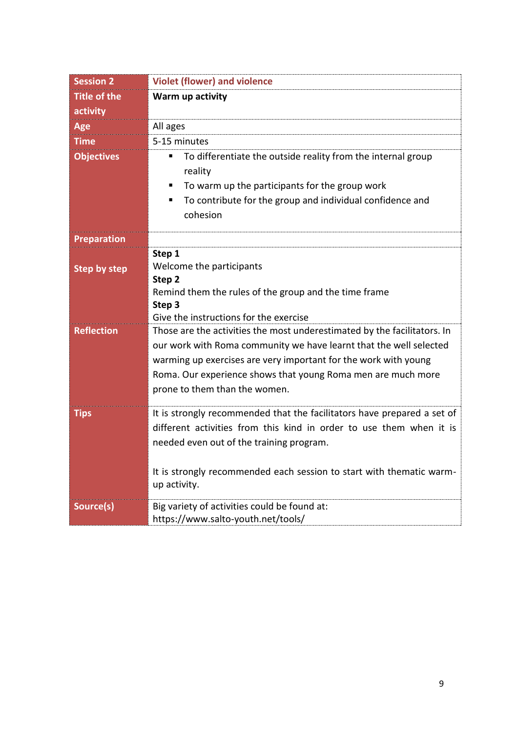| <b>Session 2</b>    | <b>Violet (flower) and violence</b>                                                                                                                                                                                                                                                                                |
|---------------------|--------------------------------------------------------------------------------------------------------------------------------------------------------------------------------------------------------------------------------------------------------------------------------------------------------------------|
| <b>Title of the</b> | Warm up activity                                                                                                                                                                                                                                                                                                   |
| activity            |                                                                                                                                                                                                                                                                                                                    |
| Age                 | All ages                                                                                                                                                                                                                                                                                                           |
| <b>Time</b>         | 5-15 minutes                                                                                                                                                                                                                                                                                                       |
| <b>Objectives</b>   | To differentiate the outside reality from the internal group<br>п<br>reality<br>To warm up the participants for the group work<br>п<br>To contribute for the group and individual confidence and<br>П<br>cohesion                                                                                                  |
| <b>Preparation</b>  |                                                                                                                                                                                                                                                                                                                    |
| <b>Step by step</b> | Step 1<br>Welcome the participants<br>Step 2<br>Remind them the rules of the group and the time frame<br>Step 3<br>Give the instructions for the exercise                                                                                                                                                          |
| <b>Reflection</b>   | Those are the activities the most underestimated by the facilitators. In<br>our work with Roma community we have learnt that the well selected<br>warming up exercises are very important for the work with young<br>Roma. Our experience shows that young Roma men are much more<br>prone to them than the women. |
| <b>Tips</b>         | It is strongly recommended that the facilitators have prepared a set of<br>different activities from this kind in order to use them when it is<br>needed even out of the training program.<br>It is strongly recommended each session to start with thematic warm-<br>up activity.                                 |
| Source(s)           | Big variety of activities could be found at:<br>https://www.salto-youth.net/tools/                                                                                                                                                                                                                                 |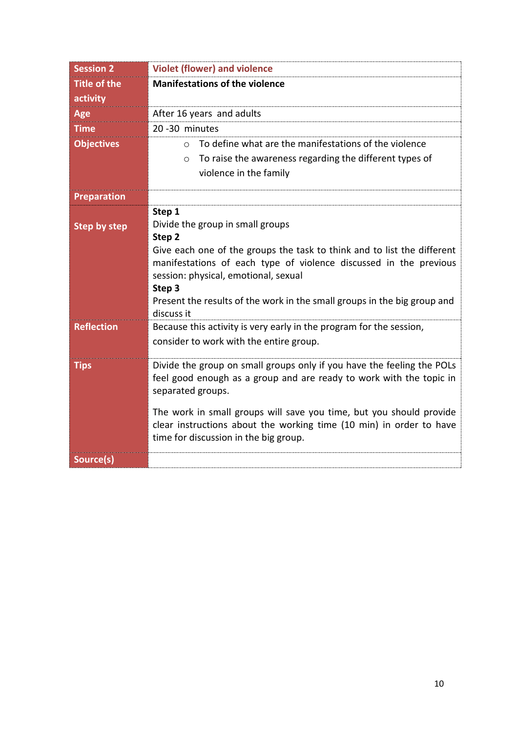| <b>Session 2</b>    | <b>Violet (flower) and violence</b>                                                                                                        |
|---------------------|--------------------------------------------------------------------------------------------------------------------------------------------|
| <b>Title of the</b> | <b>Manifestations of the violence</b>                                                                                                      |
| activity            |                                                                                                                                            |
| Age                 | After 16 years and adults                                                                                                                  |
| <b>Time</b>         | 20-30 minutes                                                                                                                              |
| <b>Objectives</b>   | To define what are the manifestations of the violence<br>$\bigcirc$                                                                        |
|                     | To raise the awareness regarding the different types of<br>$\circ$                                                                         |
|                     | violence in the family                                                                                                                     |
| <b>Preparation</b>  |                                                                                                                                            |
|                     | Step 1                                                                                                                                     |
| <b>Step by step</b> | Divide the group in small groups                                                                                                           |
|                     | Step <sub>2</sub><br>Give each one of the groups the task to think and to list the different                                               |
|                     | manifestations of each type of violence discussed in the previous                                                                          |
|                     | session: physical, emotional, sexual                                                                                                       |
|                     | Step 3                                                                                                                                     |
|                     | Present the results of the work in the small groups in the big group and<br>discuss it                                                     |
| <b>Reflection</b>   | Because this activity is very early in the program for the session,                                                                        |
|                     | consider to work with the entire group.                                                                                                    |
| <b>Tips</b>         | Divide the group on small groups only if you have the feeling the POLs                                                                     |
|                     | feel good enough as a group and are ready to work with the topic in                                                                        |
|                     | separated groups.                                                                                                                          |
|                     |                                                                                                                                            |
|                     | The work in small groups will save you time, but you should provide<br>clear instructions about the working time (10 min) in order to have |
|                     | time for discussion in the big group.                                                                                                      |
|                     |                                                                                                                                            |
| Source(s)           |                                                                                                                                            |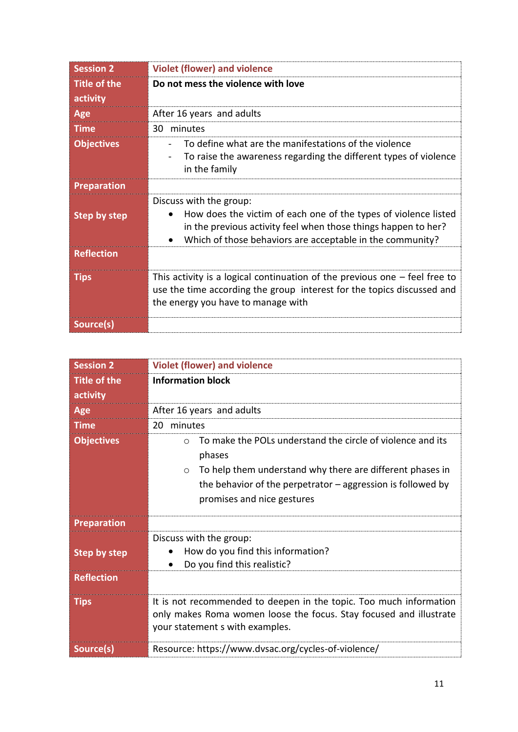| <b>Session 2</b>                | <b>Violet (flower) and violence</b>                                                                                                                                                                                       |
|---------------------------------|---------------------------------------------------------------------------------------------------------------------------------------------------------------------------------------------------------------------------|
| <b>Title of the</b><br>activity | Do not mess the violence with love                                                                                                                                                                                        |
| Age                             | After 16 years and adults                                                                                                                                                                                                 |
| <b>Time</b>                     | 30 minutes                                                                                                                                                                                                                |
| <b>Objectives</b>               | To define what are the manifestations of the violence<br>To raise the awareness regarding the different types of violence<br>in the family                                                                                |
| <b>Preparation</b>              |                                                                                                                                                                                                                           |
| <b>Step by step</b>             | Discuss with the group:<br>How does the victim of each one of the types of violence listed<br>in the previous activity feel when those things happen to her?<br>Which of those behaviors are acceptable in the community? |
| <b>Reflection</b>               |                                                                                                                                                                                                                           |
| <b>Tips</b>                     | This activity is a logical continuation of the previous one $-$ feel free to<br>use the time according the group interest for the topics discussed and<br>the energy you have to manage with                              |
| Source(s)                       |                                                                                                                                                                                                                           |

| <b>Session 2</b>    | <b>Violet (flower) and violence</b>                                                                                                                                                                                                                     |
|---------------------|---------------------------------------------------------------------------------------------------------------------------------------------------------------------------------------------------------------------------------------------------------|
| <b>Title of the</b> | <b>Information block</b>                                                                                                                                                                                                                                |
| activity            |                                                                                                                                                                                                                                                         |
| Age                 | After 16 years and adults                                                                                                                                                                                                                               |
| <b>Time</b>         | minutes<br>20                                                                                                                                                                                                                                           |
| <b>Objectives</b>   | To make the POLs understand the circle of violence and its<br>$\Omega$<br>phases<br>To help them understand why there are different phases in<br>$\circ$<br>the behavior of the perpetrator $-$ aggression is followed by<br>promises and nice gestures |
|                     |                                                                                                                                                                                                                                                         |
| <b>Preparation</b>  |                                                                                                                                                                                                                                                         |
| <b>Step by step</b> | Discuss with the group:<br>How do you find this information?<br>$\bullet$<br>Do you find this realistic?                                                                                                                                                |
| <b>Reflection</b>   |                                                                                                                                                                                                                                                         |
| <b>Tips</b>         | It is not recommended to deepen in the topic. Too much information<br>only makes Roma women loose the focus. Stay focused and illustrate<br>your statement s with examples.                                                                             |
| Source(s)           | Resource: https://www.dvsac.org/cycles-of-violence/                                                                                                                                                                                                     |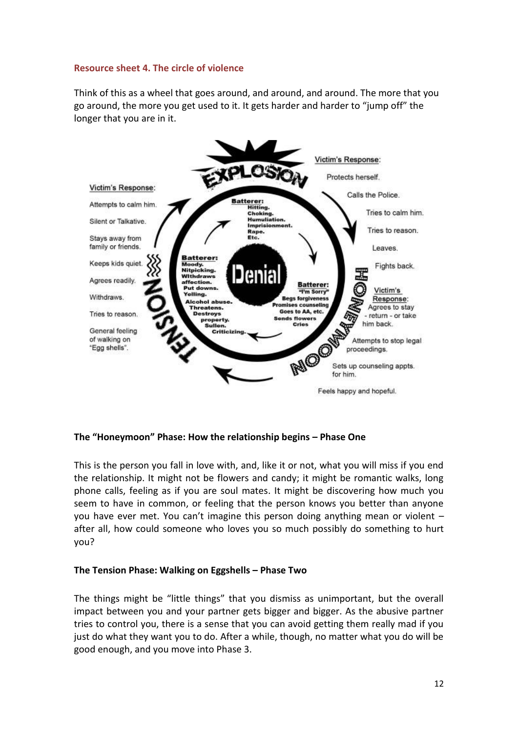# **Resource sheet 4. The circle of violence**

Think of this as a wheel that goes around, and around, and around. The more that you go around, the more you get used to it. It gets harder and harder to "jump off" the longer that you are in it.



# **The "Honeymoon" Phase: How the relationship begins – Phase One**

This is the person you fall in love with, and, like it or not, what you will miss if you end the relationship. It might not be flowers and candy; it might be romantic walks, long phone calls, feeling as if you are soul mates. It might be discovering how much you seem to have in common, or feeling that the person knows you better than anyone you have ever met. You can't imagine this person doing anything mean or violent – after all, how could someone who loves you so much possibly do something to hurt you?

## **The Tension Phase: Walking on Eggshells – Phase Two**

The things might be "little things" that you dismiss as unimportant, but the overall impact between you and your partner gets bigger and bigger. As the abusive partner tries to control you, there is a sense that you can avoid getting them really mad if you just do what they want you to do. After a while, though, no matter what you do will be good enough, and you move into Phase 3.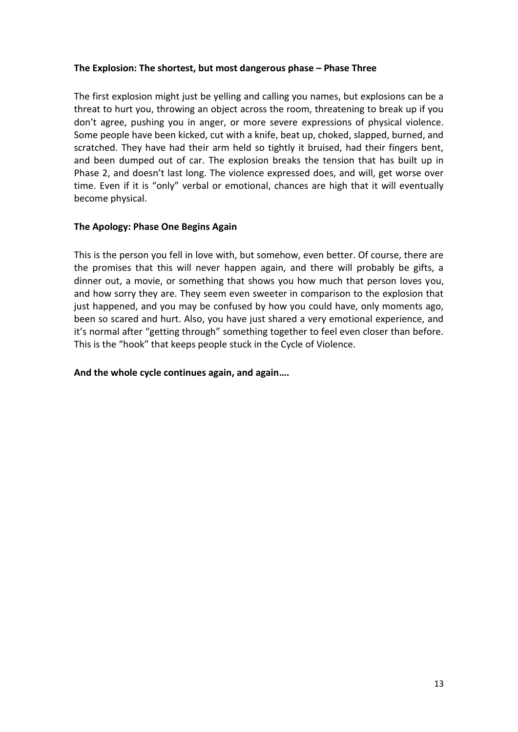## **The Explosion: The shortest, but most dangerous phase – Phase Three**

The first explosion might just be yelling and calling you names, but explosions can be a threat to hurt you, throwing an object across the room, threatening to break up if you don't agree, pushing you in anger, or more severe expressions of physical violence. Some people have been kicked, cut with a knife, beat up, choked, slapped, burned, and scratched. They have had their arm held so tightly it bruised, had their fingers bent, and been dumped out of car. The explosion breaks the tension that has built up in Phase 2, and doesn't last long. The violence expressed does, and will, get worse over time. Even if it is "only" verbal or emotional, chances are high that it will eventually become physical.

# **The Apology: Phase One Begins Again**

This is the person you fell in love with, but somehow, even better. Of course, there are the promises that this will never happen again, and there will probably be gifts, a dinner out, a movie, or something that shows you how much that person loves you, and how sorry they are. They seem even sweeter in comparison to the explosion that just happened, and you may be confused by how you could have, only moments ago, been so scared and hurt. Also, you have just shared a very emotional experience, and it's normal after "getting through" something together to feel even closer than before. This is the "hook" that keeps people stuck in the Cycle of Violence.

## **And the whole cycle continues again, and again….**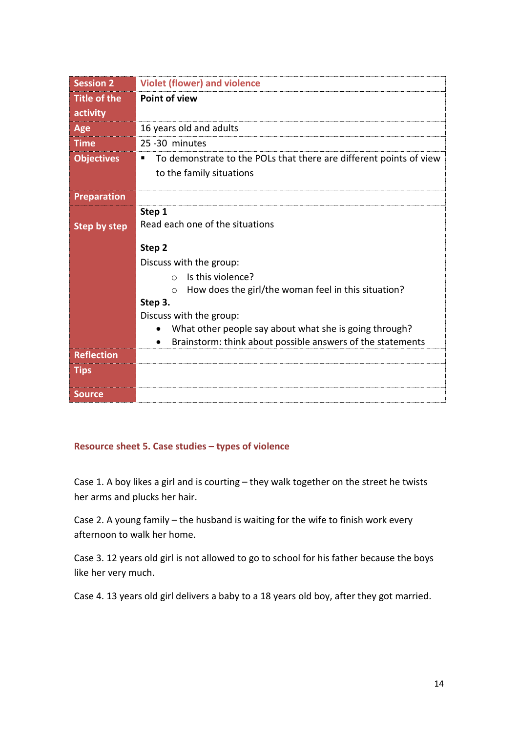| <b>Session 2</b>    | <b>Violet (flower) and violence</b>                                     |
|---------------------|-------------------------------------------------------------------------|
| <b>Title of the</b> | <b>Point of view</b>                                                    |
| activity            |                                                                         |
| Age                 | 16 years old and adults                                                 |
| <b>Time</b>         | 25-30 minutes                                                           |
| <b>Objectives</b>   | To demonstrate to the POLs that there are different points of view<br>п |
|                     | to the family situations                                                |
| <b>Preparation</b>  |                                                                         |
|                     | Step 1                                                                  |
| <b>Step by step</b> | Read each one of the situations                                         |
|                     | Step 2                                                                  |
|                     | Discuss with the group:                                                 |
|                     | Is this violence?<br>$\bigcap$                                          |
|                     | How does the girl/the woman feel in this situation?<br>$\circ$          |
|                     | Step 3.                                                                 |
|                     | Discuss with the group:                                                 |
|                     | What other people say about what she is going through?                  |
|                     | Brainstorm: think about possible answers of the statements<br>$\bullet$ |
| <b>Reflection</b>   |                                                                         |
| <b>Tips</b>         |                                                                         |
| <b>Source</b>       |                                                                         |

# **Resource sheet 5. Case studies – types of violence**

Case 1. A boy likes a girl and is courting – they walk together on the street he twists her arms and plucks her hair.

Case 2. A young family – the husband is waiting for the wife to finish work every afternoon to walk her home.

Case 3. 12 years old girl is not allowed to go to school for his father because the boys like her very much.

Case 4. 13 years old girl delivers a baby to a 18 years old boy, after they got married.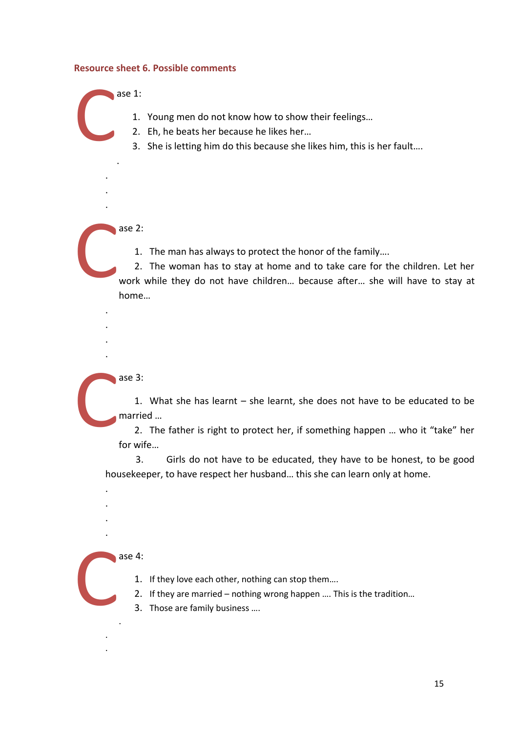#### **Resource sheet 6. Possible comments**

ase 1:

1. Young men do not know how to show their feelings…

- 2. Eh, he beats her because he likes her…
- 3. She is letting him do this because she likes him, this is her fault….

ase 2: C

.

. . .

C

. . . . 1. The man has always to protect the honor of the family….

2. The woman has to stay at home and to take care for the children. Let her work while they do not have children… because after… she will have to stay at home…

ase 3: C

1. What she has learnt – she learnt, she does not have to be educated to be married …

2. The father is right to protect her, if something happen … who it "take" her for wife…

3. Girls do not have to be educated, they have to be honest, to be good housekeeper, to have respect her husband… this she can learn only at home.

ase 4: C

.

. .

. . . .

- 1. If they love each other, nothing can stop them….
- 2. If they are married nothing wrong happen …. This is the tradition…
- 3. Those are family business ….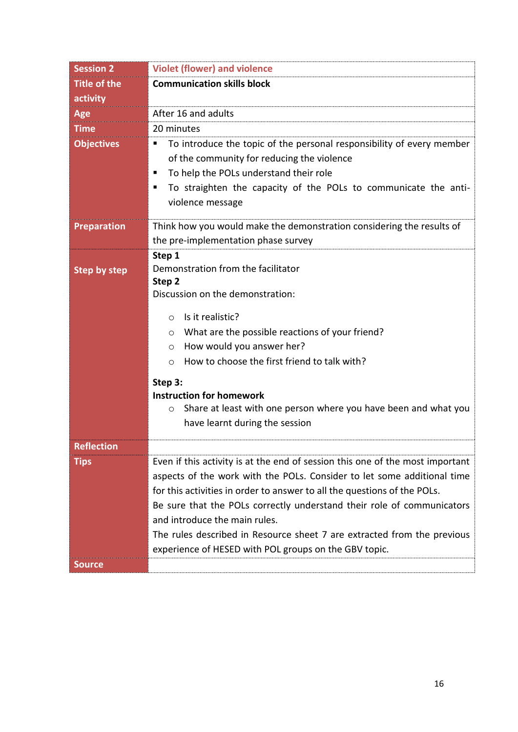| <b>Session 2</b>    | <b>Violet (flower) and violence</b>                                           |  |  |  |
|---------------------|-------------------------------------------------------------------------------|--|--|--|
| <b>Title of the</b> | <b>Communication skills block</b>                                             |  |  |  |
| activity            |                                                                               |  |  |  |
| <b>Age</b>          | After 16 and adults                                                           |  |  |  |
| <b>Time</b>         | 20 minutes                                                                    |  |  |  |
| <b>Objectives</b>   | To introduce the topic of the personal responsibility of every member<br>п    |  |  |  |
|                     | of the community for reducing the violence                                    |  |  |  |
|                     | To help the POLs understand their role<br>п                                   |  |  |  |
|                     | To straighten the capacity of the POLs to communicate the anti-<br>п          |  |  |  |
|                     | violence message                                                              |  |  |  |
| <b>Preparation</b>  | Think how you would make the demonstration considering the results of         |  |  |  |
|                     | the pre-implementation phase survey                                           |  |  |  |
|                     | Step 1                                                                        |  |  |  |
| <b>Step by step</b> | Demonstration from the facilitator                                            |  |  |  |
|                     | Step 2<br>Discussion on the demonstration:                                    |  |  |  |
|                     |                                                                               |  |  |  |
|                     | Is it realistic?<br>$\circ$                                                   |  |  |  |
|                     | What are the possible reactions of your friend?<br>$\circ$                    |  |  |  |
|                     | How would you answer her?<br>$\circ$                                          |  |  |  |
|                     | How to choose the first friend to talk with?<br>$\circ$                       |  |  |  |
|                     | Step 3:                                                                       |  |  |  |
|                     | <b>Instruction for homework</b>                                               |  |  |  |
|                     | Share at least with one person where you have been and what you<br>$\circ$    |  |  |  |
|                     | have learnt during the session                                                |  |  |  |
| <b>Reflection</b>   |                                                                               |  |  |  |
| <b>Tips</b>         | Even if this activity is at the end of session this one of the most important |  |  |  |
|                     | aspects of the work with the POLs. Consider to let some additional time       |  |  |  |
|                     | for this activities in order to answer to all the questions of the POLs.      |  |  |  |
|                     | Be sure that the POLs correctly understand their role of communicators        |  |  |  |
|                     | and introduce the main rules.                                                 |  |  |  |
|                     | The rules described in Resource sheet 7 are extracted from the previous       |  |  |  |
|                     | experience of HESED with POL groups on the GBV topic.                         |  |  |  |
| <b>Source</b>       |                                                                               |  |  |  |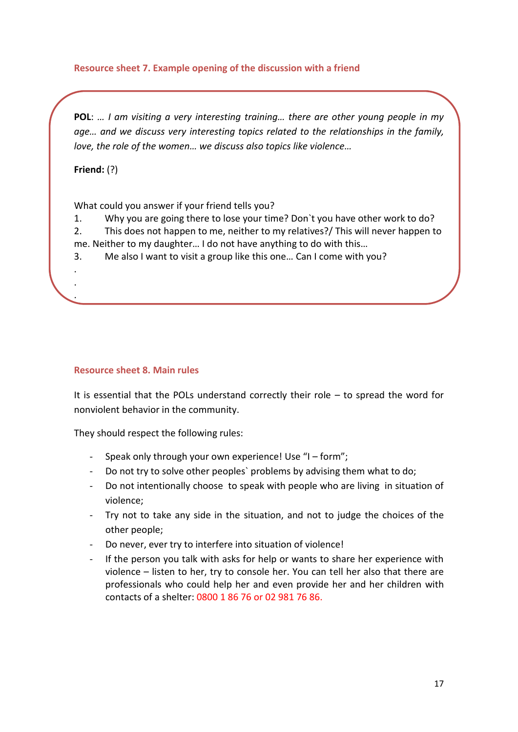# **Resource sheet 7. Example opening of the discussion with a friend**

**POL**: *… I am visiting a very interesting training… there are other young people in my age… and we discuss very interesting topics related to the relationships in the family, love, the role of the women… we discuss also topics like violence…*

**Friend:** (?)

. . .

What could you answer if your friend tells you?

1. Why you are going there to lose your time? Don`t you have other work to do? 2. This does not happen to me, neither to my relatives?/ This will never happen to me. Neither to my daughter… I do not have anything to do with this…

3. Me also I want to visit a group like this one… Can I come with you?

## **Resource sheet 8. Main rules**

It is essential that the POLs understand correctly their role – to spread the word for nonviolent behavior in the community.

They should respect the following rules:

- Speak only through your own experience! Use "I form":
- Do not try to solve other peoples` problems by advising them what to do;
- Do not intentionally choose to speak with people who are living in situation of violence;
- Try not to take any side in the situation, and not to judge the choices of the other people;
- Do never, ever try to interfere into situation of violence!
- If the person you talk with asks for help or wants to share her experience with violence – listen to her, try to console her. You can tell her also that there are professionals who could help her and even provide her and her children with contacts of a shelter: 0800 1 86 76 or 02 981 76 86.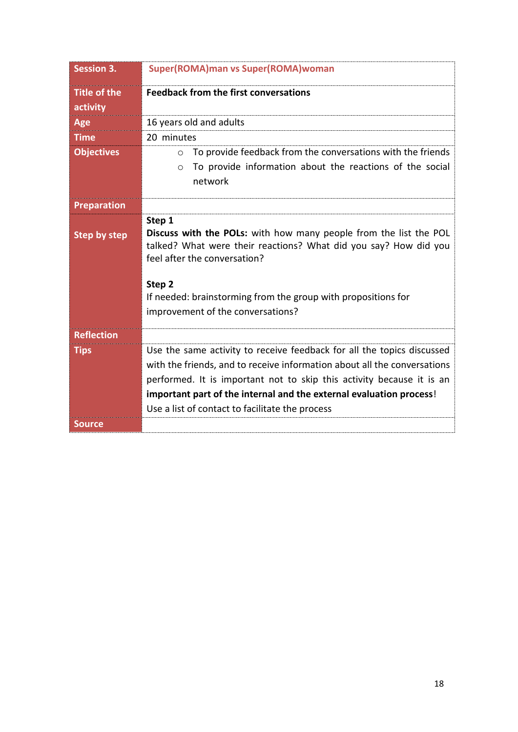| <b>Session 3.</b>               | <b>Super(ROMA)man vs Super(ROMA)woman</b>                                                                                                                                                                                                                                                                                                             |  |  |
|---------------------------------|-------------------------------------------------------------------------------------------------------------------------------------------------------------------------------------------------------------------------------------------------------------------------------------------------------------------------------------------------------|--|--|
| <b>Title of the</b><br>activity | <b>Feedback from the first conversations</b>                                                                                                                                                                                                                                                                                                          |  |  |
| Age                             | 16 years old and adults                                                                                                                                                                                                                                                                                                                               |  |  |
| <b>Time</b>                     | 20 minutes                                                                                                                                                                                                                                                                                                                                            |  |  |
| <b>Objectives</b>               | To provide feedback from the conversations with the friends<br>$\circ$                                                                                                                                                                                                                                                                                |  |  |
|                                 | To provide information about the reactions of the social<br>$\circ$<br>network                                                                                                                                                                                                                                                                        |  |  |
| <b>Preparation</b>              |                                                                                                                                                                                                                                                                                                                                                       |  |  |
| <b>Step by step</b>             | Step 1<br>Discuss with the POLs: with how many people from the list the POL<br>talked? What were their reactions? What did you say? How did you<br>feel after the conversation?<br>Step <sub>2</sub><br>If needed: brainstorming from the group with propositions for<br>improvement of the conversations?                                            |  |  |
| <b>Reflection</b>               |                                                                                                                                                                                                                                                                                                                                                       |  |  |
| <b>Tips</b>                     | Use the same activity to receive feedback for all the topics discussed<br>with the friends, and to receive information about all the conversations<br>performed. It is important not to skip this activity because it is an<br>important part of the internal and the external evaluation process!<br>Use a list of contact to facilitate the process |  |  |
| <b>Source</b>                   |                                                                                                                                                                                                                                                                                                                                                       |  |  |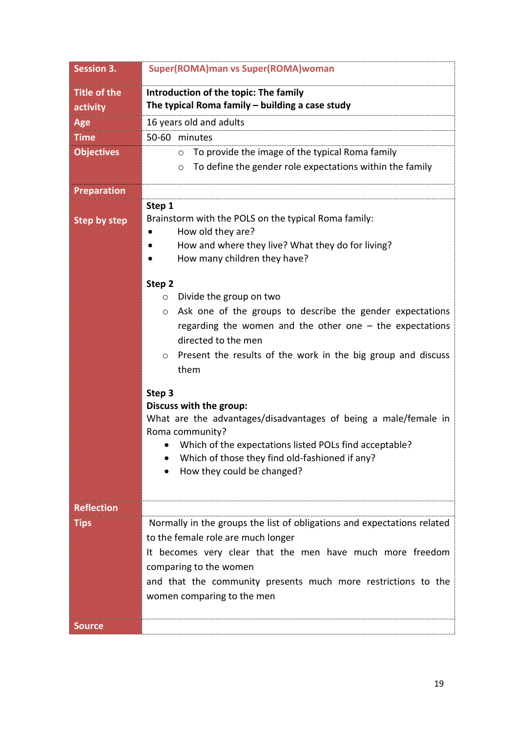| <b>Session 3.</b>   | Super(ROMA)man vs Super(ROMA)woman                                      |  |  |  |
|---------------------|-------------------------------------------------------------------------|--|--|--|
| <b>Title of the</b> | Introduction of the topic: The family                                   |  |  |  |
| activity            | The typical Roma family - building a case study                         |  |  |  |
| Age                 | 16 years old and adults                                                 |  |  |  |
| <b>Time</b>         | 50-60 minutes                                                           |  |  |  |
| <b>Objectives</b>   | To provide the image of the typical Roma family<br>$\circ$              |  |  |  |
|                     | To define the gender role expectations within the family<br>$\circ$     |  |  |  |
| <b>Preparation</b>  |                                                                         |  |  |  |
|                     | Step 1                                                                  |  |  |  |
| <b>Step by step</b> | Brainstorm with the POLS on the typical Roma family:                    |  |  |  |
|                     | How old they are?                                                       |  |  |  |
|                     | How and where they live? What they do for living?                       |  |  |  |
|                     | How many children they have?                                            |  |  |  |
|                     | Step 2                                                                  |  |  |  |
|                     | Divide the group on two<br>$\circ$                                      |  |  |  |
|                     | Ask one of the groups to describe the gender expectations<br>$\circ$    |  |  |  |
|                     | regarding the women and the other one $-$ the expectations              |  |  |  |
|                     | directed to the men                                                     |  |  |  |
|                     | Present the results of the work in the big group and discuss<br>$\circ$ |  |  |  |
|                     | them                                                                    |  |  |  |
|                     | Step 3                                                                  |  |  |  |
|                     | Discuss with the group:                                                 |  |  |  |
|                     | What are the advantages/disadvantages of being a male/female in         |  |  |  |
|                     | Roma community?                                                         |  |  |  |
|                     | Which of the expectations listed POLs find acceptable?                  |  |  |  |
|                     | Which of those they find old-fashioned if any?                          |  |  |  |
|                     | How they could be changed?                                              |  |  |  |
|                     |                                                                         |  |  |  |
| <b>Reflection</b>   |                                                                         |  |  |  |
| <b>Tips</b>         | Normally in the groups the list of obligations and expectations related |  |  |  |
|                     | to the female role are much longer                                      |  |  |  |
|                     | It becomes very clear that the men have much more freedom               |  |  |  |
|                     | comparing to the women                                                  |  |  |  |
|                     | and that the community presents much more restrictions to the           |  |  |  |
|                     | women comparing to the men                                              |  |  |  |
|                     |                                                                         |  |  |  |
| <b>Source</b>       |                                                                         |  |  |  |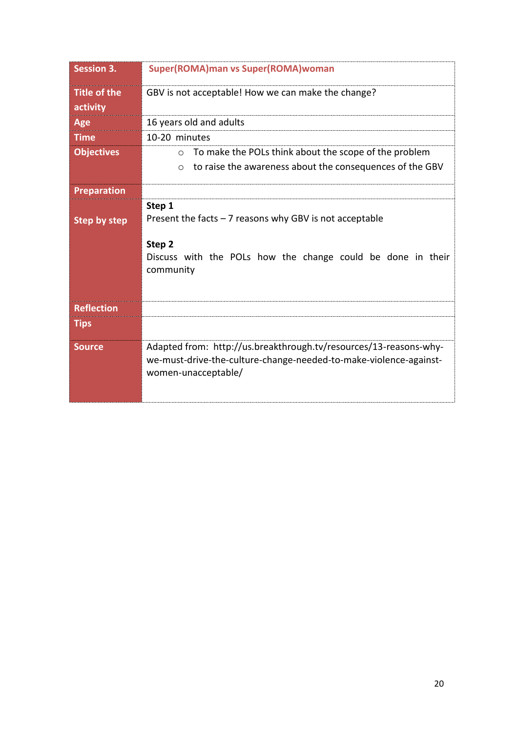| <b>Session 3.</b>               | <b>Super(ROMA)man vs Super(ROMA)woman</b>                                                                                                                           |
|---------------------------------|---------------------------------------------------------------------------------------------------------------------------------------------------------------------|
| <b>Title of the</b><br>activity | GBV is not acceptable! How we can make the change?                                                                                                                  |
| Age                             | 16 years old and adults                                                                                                                                             |
| <b>Time</b>                     | 10-20 minutes                                                                                                                                                       |
| <b>Objectives</b>               | To make the POLs think about the scope of the problem<br>$\circ$<br>to raise the awareness about the consequences of the GBV<br>$\circ$                             |
| <b>Preparation</b>              |                                                                                                                                                                     |
| <b>Step by step</b>             | Step 1<br>Present the facts $-7$ reasons why GBV is not acceptable<br>Step <sub>2</sub><br>Discuss with the POLs how the change could be done in their<br>community |
| <b>Reflection</b>               |                                                                                                                                                                     |
| <b>Tips</b>                     |                                                                                                                                                                     |
| <b>Source</b>                   | Adapted from: http://us.breakthrough.tv/resources/13-reasons-why-<br>we-must-drive-the-culture-change-needed-to-make-violence-against-<br>women-unacceptable/       |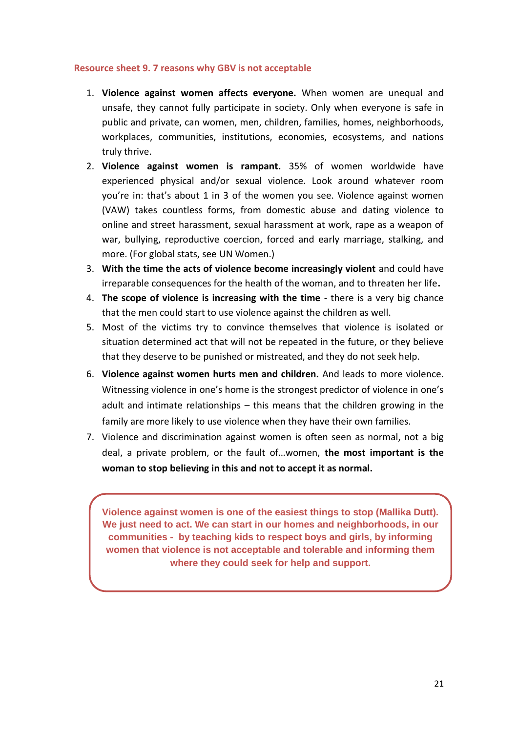#### **Resource sheet 9. 7 reasons why GBV is not acceptable**

- 1. **Violence against women affects everyone.** When women are unequal and unsafe, they cannot fully participate in society. Only when everyone is safe in public and private, can women, men, children, families, homes, neighborhoods, workplaces, communities, institutions, economies, ecosystems, and nations truly thrive.
- 2. **Violence against women is rampant.** 35% of women worldwide have experienced physical and/or sexual violence. Look around whatever room you're in: that's about 1 in 3 of the women you see. Violence against women (VAW) takes countless forms, from domestic abuse and dating violence to online and street harassment, sexual harassment at work, rape as a weapon of war, bullying, reproductive coercion, forced and early marriage, stalking, and more. (For global stats, see [UN Women.](http://www.unwomen.org/en/what-we-do/ending-violence-against-women/facts-and-figures))
- 3. **With the time the acts of violence become increasingly violent** and could have irreparable consequences for the health of the woman, and to threaten her life**.**
- 4. **The scope of violence is increasing with the time** there is a very big chance that the men could start to use violence against the children as well.
- 5. Most of the victims try to convince themselves that violence is isolated or situation determined act that will not be repeated in the future, or they believe that they deserve to be punished or mistreated, and they do not seek help.
- 6. **Violence against women hurts men and children.** And leads to more violence. Witnessing violence in one's home is the strongest predictor of violence in one's adult and intimate relationships – this means that the children growing in the family are more likely to use violence when they have their own families.
- 7. Violence and discrimination against women is often seen as normal, not a big deal, a private problem, or the fault of…women, **the most important is the woman to stop believing in this and not to accept it as normal.**

**Violence against women is one of the easiest things to stop (Mallika Dutt). We just need to act. We can start in our homes and neighborhoods, in our communities - by teaching kids to respect boys and girls, by informing women that violence is not acceptable and tolerable and informing them where they could seek for help and support.**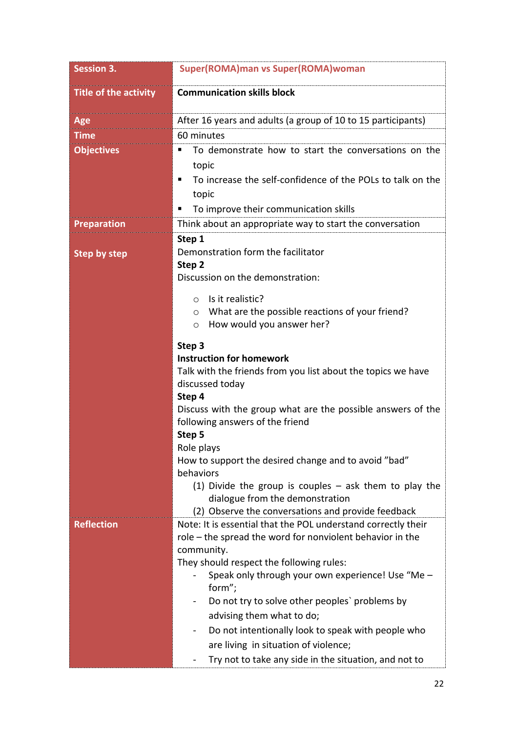| <b>Session 3.</b>            | Super(ROMA)man vs Super(ROMA)woman                                                                                  |  |  |  |
|------------------------------|---------------------------------------------------------------------------------------------------------------------|--|--|--|
| <b>Title of the activity</b> | <b>Communication skills block</b>                                                                                   |  |  |  |
| Age                          | After 16 years and adults (a group of 10 to 15 participants)                                                        |  |  |  |
| <b>Time</b>                  | 60 minutes                                                                                                          |  |  |  |
| <b>Objectives</b>            | To demonstrate how to start the conversations on the<br>٠                                                           |  |  |  |
|                              | topic                                                                                                               |  |  |  |
|                              | To increase the self-confidence of the POLs to talk on the                                                          |  |  |  |
|                              | topic                                                                                                               |  |  |  |
|                              | To improve their communication skills<br>п                                                                          |  |  |  |
| <b>Preparation</b>           | Think about an appropriate way to start the conversation                                                            |  |  |  |
|                              | Step 1                                                                                                              |  |  |  |
| <b>Step by step</b>          | Demonstration form the facilitator                                                                                  |  |  |  |
|                              | Step 2                                                                                                              |  |  |  |
|                              | Discussion on the demonstration:                                                                                    |  |  |  |
|                              | Is it realistic?<br>$\circ$                                                                                         |  |  |  |
|                              | What are the possible reactions of your friend?<br>$\circ$                                                          |  |  |  |
|                              | How would you answer her?<br>$\circ$                                                                                |  |  |  |
|                              | Step 3                                                                                                              |  |  |  |
|                              | <b>Instruction for homework</b>                                                                                     |  |  |  |
|                              | Talk with the friends from you list about the topics we have                                                        |  |  |  |
|                              | discussed today                                                                                                     |  |  |  |
|                              | Step 4                                                                                                              |  |  |  |
|                              | Discuss with the group what are the possible answers of the<br>following answers of the friend                      |  |  |  |
|                              | Step 5                                                                                                              |  |  |  |
|                              | Role plays                                                                                                          |  |  |  |
|                              | How to support the desired change and to avoid "bad"                                                                |  |  |  |
|                              | behaviors                                                                                                           |  |  |  |
|                              | (1) Divide the group is couples $-$ ask them to play the                                                            |  |  |  |
|                              | dialogue from the demonstration                                                                                     |  |  |  |
| <b>Reflection</b>            | (2) Observe the conversations and provide feedback<br>Note: It is essential that the POL understand correctly their |  |  |  |
|                              | role - the spread the word for nonviolent behavior in the                                                           |  |  |  |
|                              | community.                                                                                                          |  |  |  |
|                              | They should respect the following rules:                                                                            |  |  |  |
|                              | Speak only through your own experience! Use "Me -<br>form";                                                         |  |  |  |
|                              | Do not try to solve other peoples' problems by                                                                      |  |  |  |
|                              | advising them what to do;                                                                                           |  |  |  |
|                              | Do not intentionally look to speak with people who                                                                  |  |  |  |
|                              | are living in situation of violence;                                                                                |  |  |  |
|                              | Try not to take any side in the situation, and not to                                                               |  |  |  |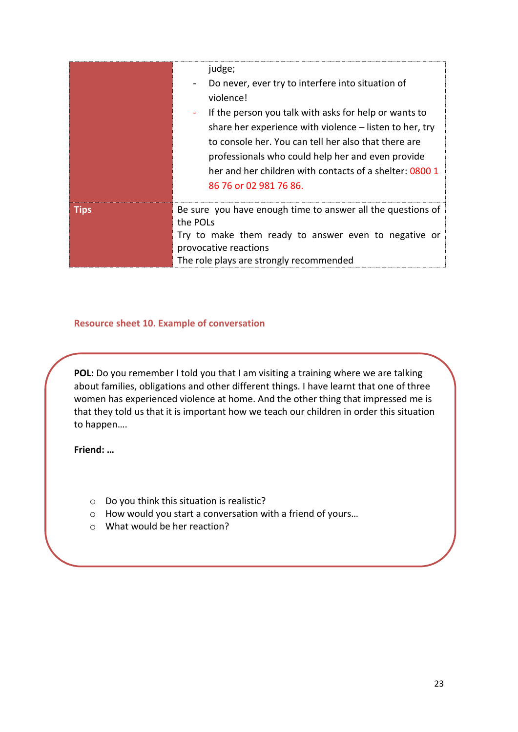|             | judge;<br>Do never, ever try to interfere into situation of<br>violence!<br>If the person you talk with asks for help or wants to<br>share her experience with violence – listen to her, try<br>to console her. You can tell her also that there are<br>professionals who could help her and even provide<br>her and her children with contacts of a shelter: 0800 1<br>86 76 or 02 981 76 86. |
|-------------|------------------------------------------------------------------------------------------------------------------------------------------------------------------------------------------------------------------------------------------------------------------------------------------------------------------------------------------------------------------------------------------------|
| <b>Tips</b> | Be sure you have enough time to answer all the questions of<br>the POLs<br>Try to make them ready to answer even to negative or<br>provocative reactions<br>The role plays are strongly recommended                                                                                                                                                                                            |

## **Resource sheet 10. Example of conversation**

**POL:** Do you remember I told you that I am visiting a training where we are talking about families, obligations and other different things. I have learnt that one of three women has experienced violence at home. And the other thing that impressed me is that they told us that it is important how we teach our children in order this situation to happen….

**Friend: …**

- o Do you think this situation is realistic?
- o How would you start a conversation with a friend of yours…
- o What would be her reaction?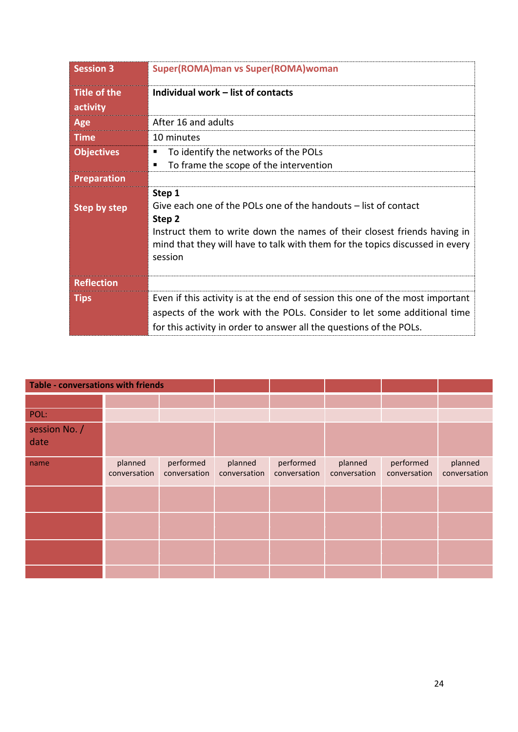| <b>Session 3</b>                | Super(ROMA)man vs Super(ROMA)woman                                                                                                                                                                                                                         |  |  |
|---------------------------------|------------------------------------------------------------------------------------------------------------------------------------------------------------------------------------------------------------------------------------------------------------|--|--|
| <b>Title of the</b><br>activity | Individual work - list of contacts                                                                                                                                                                                                                         |  |  |
| Age                             | After 16 and adults                                                                                                                                                                                                                                        |  |  |
| <b>Time</b>                     | 10 minutes                                                                                                                                                                                                                                                 |  |  |
| <b>Objectives</b>               | To identify the networks of the POLs<br>To frame the scope of the intervention                                                                                                                                                                             |  |  |
| <b>Preparation</b>              |                                                                                                                                                                                                                                                            |  |  |
| <b>Step by step</b>             | Step 1<br>Give each one of the POLs one of the handouts – list of contact<br>Step 2<br>Instruct them to write down the names of their closest friends having in<br>mind that they will have to talk with them for the topics discussed in every<br>session |  |  |
| <b>Reflection</b>               |                                                                                                                                                                                                                                                            |  |  |
| <b>Tips</b>                     | Even if this activity is at the end of session this one of the most important<br>aspects of the work with the POLs. Consider to let some additional time<br>for this activity in order to answer all the questions of the POLs.                            |  |  |

| <b>Table - conversations with friends</b> |                         |                           |                         |                           |                         |                           |                         |
|-------------------------------------------|-------------------------|---------------------------|-------------------------|---------------------------|-------------------------|---------------------------|-------------------------|
|                                           |                         |                           |                         |                           |                         |                           |                         |
| POL:                                      |                         |                           |                         |                           |                         |                           |                         |
| session No. /<br>date                     |                         |                           |                         |                           |                         |                           |                         |
| name                                      | planned<br>conversation | performed<br>conversation | planned<br>conversation | performed<br>conversation | planned<br>conversation | performed<br>conversation | planned<br>conversation |
|                                           |                         |                           |                         |                           |                         |                           |                         |
|                                           |                         |                           |                         |                           |                         |                           |                         |
|                                           |                         |                           |                         |                           |                         |                           |                         |
|                                           |                         |                           |                         |                           |                         |                           |                         |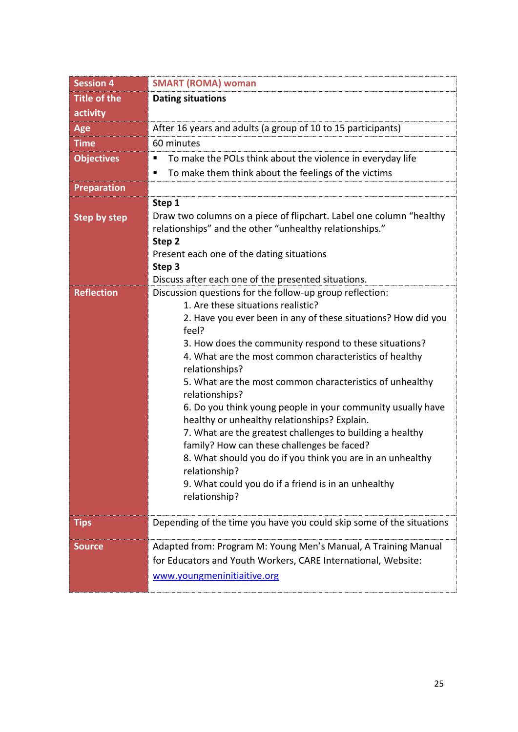| <b>Session 4</b>    | <b>SMART (ROMA) woman</b>                                                                                                                                                                                                                                        |  |  |
|---------------------|------------------------------------------------------------------------------------------------------------------------------------------------------------------------------------------------------------------------------------------------------------------|--|--|
| <b>Title of the</b> | <b>Dating situations</b>                                                                                                                                                                                                                                         |  |  |
| activity            |                                                                                                                                                                                                                                                                  |  |  |
| Age                 | After 16 years and adults (a group of 10 to 15 participants)                                                                                                                                                                                                     |  |  |
| <b>Time</b>         | 60 minutes                                                                                                                                                                                                                                                       |  |  |
| <b>Objectives</b>   | To make the POLs think about the violence in everyday life<br>п                                                                                                                                                                                                  |  |  |
|                     | To make them think about the feelings of the victims<br>п                                                                                                                                                                                                        |  |  |
| <b>Preparation</b>  |                                                                                                                                                                                                                                                                  |  |  |
| <b>Step by step</b> | Step 1<br>Draw two columns on a piece of flipchart. Label one column "healthy<br>relationships" and the other "unhealthy relationships."<br>Step 2<br>Present each one of the dating situations<br>Step 3<br>Discuss after each one of the presented situations. |  |  |
| <b>Reflection</b>   | Discussion questions for the follow-up group reflection:                                                                                                                                                                                                         |  |  |
|                     | 1. Are these situations realistic?                                                                                                                                                                                                                               |  |  |
|                     | 2. Have you ever been in any of these situations? How did you<br>feel?                                                                                                                                                                                           |  |  |
|                     | 3. How does the community respond to these situations?<br>4. What are the most common characteristics of healthy<br>relationships?                                                                                                                               |  |  |
|                     | 5. What are the most common characteristics of unhealthy<br>relationships?                                                                                                                                                                                       |  |  |
|                     | 6. Do you think young people in your community usually have<br>healthy or unhealthy relationships? Explain.                                                                                                                                                      |  |  |
|                     | 7. What are the greatest challenges to building a healthy                                                                                                                                                                                                        |  |  |
|                     | family? How can these challenges be faced?                                                                                                                                                                                                                       |  |  |
|                     | 8. What should you do if you think you are in an unhealthy<br>relationship?                                                                                                                                                                                      |  |  |
|                     | 9. What could you do if a friend is in an unhealthy<br>relationship?                                                                                                                                                                                             |  |  |
| <b>Tips</b>         | Depending of the time you have you could skip some of the situations                                                                                                                                                                                             |  |  |
| <b>Source</b>       | Adapted from: Program M: Young Men's Manual, A Training Manual<br>for Educators and Youth Workers, CARE International, Website:<br>www.youngmeninitiaitive.org                                                                                                   |  |  |
|                     |                                                                                                                                                                                                                                                                  |  |  |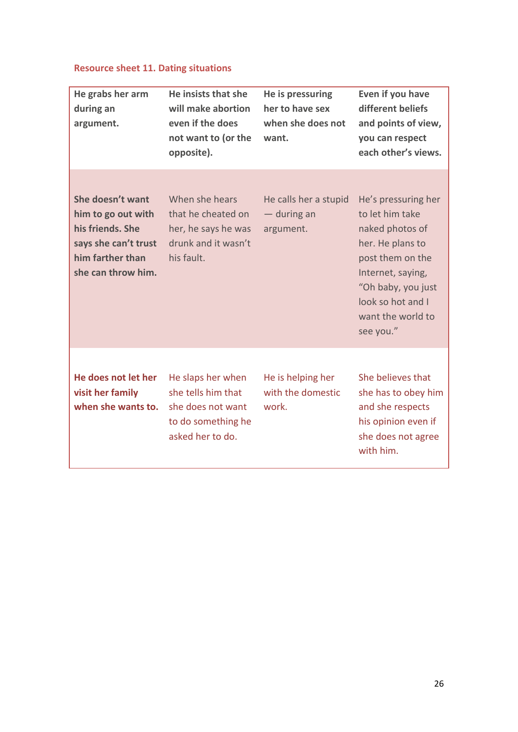# **Resource sheet 11. Dating situations**

| He grabs her arm<br>during an<br>argument.                                                                                   | He insists that she<br>will make abortion<br>even if the does<br>not want to (or the<br>opposite).     | He is pressuring<br>her to have sex<br>when she does not<br>want. | Even if you have<br>different beliefs<br>and points of view,<br>you can respect<br>each other's views.                                                                                              |
|------------------------------------------------------------------------------------------------------------------------------|--------------------------------------------------------------------------------------------------------|-------------------------------------------------------------------|-----------------------------------------------------------------------------------------------------------------------------------------------------------------------------------------------------|
| She doesn't want<br>him to go out with<br>his friends. She<br>says she can't trust<br>him farther than<br>she can throw him. | When she hears<br>that he cheated on<br>her, he says he was<br>drunk and it wasn't<br>his fault.       | He calls her a stupid<br>— during an<br>argument.                 | He's pressuring her<br>to let him take<br>naked photos of<br>her. He plans to<br>post them on the<br>Internet, saying,<br>"Oh baby, you just<br>look so hot and I<br>want the world to<br>see you." |
| He does not let her<br>visit her family<br>when she wants to.                                                                | He slaps her when<br>she tells him that<br>she does not want<br>to do something he<br>asked her to do. | He is helping her<br>with the domestic<br>work.                   | She believes that<br>she has to obey him<br>and she respects<br>his opinion even if<br>she does not agree<br>with him.                                                                              |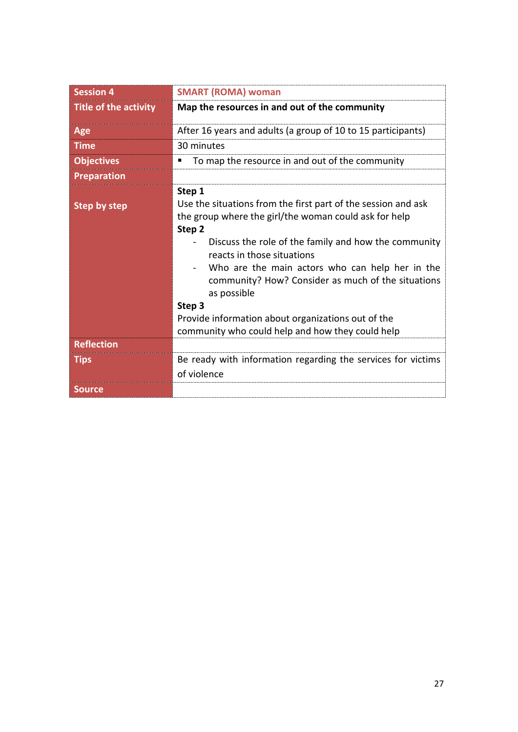| <b>Session 4</b>             | <b>SMART (ROMA) woman</b>                                                                                                                                                                                                                                                                                                                                                                                                                                                    |
|------------------------------|------------------------------------------------------------------------------------------------------------------------------------------------------------------------------------------------------------------------------------------------------------------------------------------------------------------------------------------------------------------------------------------------------------------------------------------------------------------------------|
| <b>Title of the activity</b> | Map the resources in and out of the community                                                                                                                                                                                                                                                                                                                                                                                                                                |
| Age                          | After 16 years and adults (a group of 10 to 15 participants)                                                                                                                                                                                                                                                                                                                                                                                                                 |
| <b>Time</b>                  | 30 minutes                                                                                                                                                                                                                                                                                                                                                                                                                                                                   |
| <b>Objectives</b>            | To map the resource in and out of the community                                                                                                                                                                                                                                                                                                                                                                                                                              |
| <b>Preparation</b>           |                                                                                                                                                                                                                                                                                                                                                                                                                                                                              |
| <b>Step by step</b>          | Step 1<br>Use the situations from the first part of the session and ask<br>the group where the girl/the woman could ask for help<br>Step 2<br>Discuss the role of the family and how the community<br>reacts in those situations<br>Who are the main actors who can help her in the<br>community? How? Consider as much of the situations<br>as possible<br>Step 3<br>Provide information about organizations out of the<br>community who could help and how they could help |
| <b>Reflection</b>            |                                                                                                                                                                                                                                                                                                                                                                                                                                                                              |
| <b>Tips</b>                  | Be ready with information regarding the services for victims<br>of violence                                                                                                                                                                                                                                                                                                                                                                                                  |
| <b>Source</b>                |                                                                                                                                                                                                                                                                                                                                                                                                                                                                              |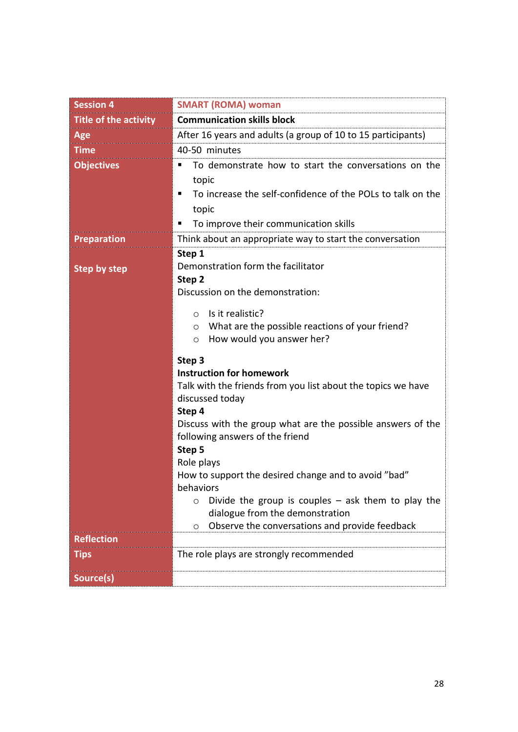| <b>Session 4</b>             | <b>SMART (ROMA) woman</b>                                                                      |  |  |  |
|------------------------------|------------------------------------------------------------------------------------------------|--|--|--|
| <b>Title of the activity</b> | <b>Communication skills block</b>                                                              |  |  |  |
| Age                          | After 16 years and adults (a group of 10 to 15 participants)                                   |  |  |  |
| <b>Time</b>                  | 40-50 minutes                                                                                  |  |  |  |
| <b>Objectives</b>            | To demonstrate how to start the conversations on the                                           |  |  |  |
|                              | topic                                                                                          |  |  |  |
|                              | To increase the self-confidence of the POLs to talk on the<br>п                                |  |  |  |
|                              | topic                                                                                          |  |  |  |
|                              | To improve their communication skills<br>п                                                     |  |  |  |
| <b>Preparation</b>           | Think about an appropriate way to start the conversation                                       |  |  |  |
|                              | Step 1                                                                                         |  |  |  |
| <b>Step by step</b>          | Demonstration form the facilitator                                                             |  |  |  |
|                              | Step 2                                                                                         |  |  |  |
|                              | Discussion on the demonstration:                                                               |  |  |  |
|                              | Is it realistic?<br>$\circ$                                                                    |  |  |  |
|                              | What are the possible reactions of your friend?<br>O                                           |  |  |  |
|                              | How would you answer her?<br>O                                                                 |  |  |  |
|                              | Step 3                                                                                         |  |  |  |
|                              | <b>Instruction for homework</b>                                                                |  |  |  |
|                              | Talk with the friends from you list about the topics we have                                   |  |  |  |
|                              | discussed today                                                                                |  |  |  |
|                              | Step 4                                                                                         |  |  |  |
|                              | Discuss with the group what are the possible answers of the<br>following answers of the friend |  |  |  |
|                              | Step 5                                                                                         |  |  |  |
|                              | Role plays                                                                                     |  |  |  |
|                              | How to support the desired change and to avoid "bad"                                           |  |  |  |
|                              | behaviors                                                                                      |  |  |  |
|                              | Divide the group is couples $-$ ask them to play the<br>O                                      |  |  |  |
|                              | dialogue from the demonstration<br>Observe the conversations and provide feedback<br>O         |  |  |  |
| <b>Reflection</b>            |                                                                                                |  |  |  |
| <b>Tips</b>                  | The role plays are strongly recommended                                                        |  |  |  |
|                              |                                                                                                |  |  |  |
| Source(s)                    |                                                                                                |  |  |  |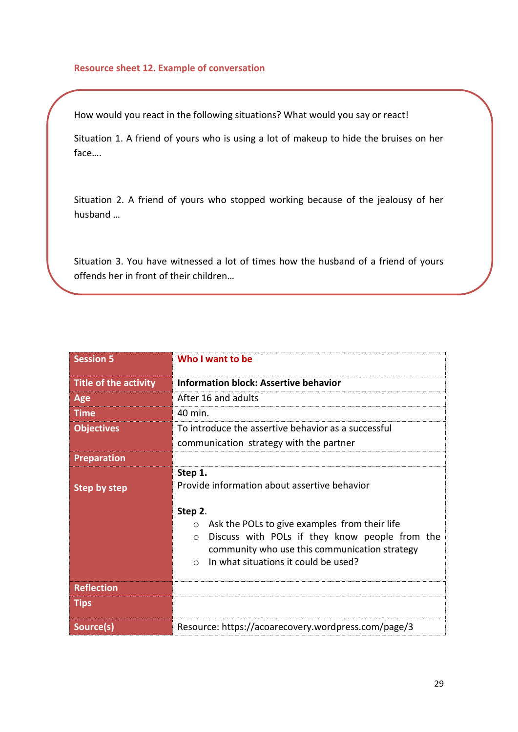#### **Resource sheet 12. Example of conversation**

How would you react in the following situations? What would you say or react!

Situation 1. A friend of yours who is using a lot of makeup to hide the bruises on her face….

Situation 2. A friend of yours who stopped working because of the jealousy of her husband …

Situation 3. You have witnessed a lot of times how the husband of a friend of yours offends her in front of their children…

| <b>Session 5</b>             | Who I want to be                                                                                                                                                                                                                        |  |  |  |  |  |
|------------------------------|-----------------------------------------------------------------------------------------------------------------------------------------------------------------------------------------------------------------------------------------|--|--|--|--|--|
| <b>Title of the activity</b> | <b>Information block: Assertive behavior</b>                                                                                                                                                                                            |  |  |  |  |  |
| Age                          | After 16 and adults                                                                                                                                                                                                                     |  |  |  |  |  |
| <b>Time</b>                  | 40 min.                                                                                                                                                                                                                                 |  |  |  |  |  |
| <b>Objectives</b>            | To introduce the assertive behavior as a successful                                                                                                                                                                                     |  |  |  |  |  |
|                              | communication strategy with the partner                                                                                                                                                                                                 |  |  |  |  |  |
| <b>Preparation</b>           |                                                                                                                                                                                                                                         |  |  |  |  |  |
| <b>Step by step</b>          | Step 1.<br>Provide information about assertive behavior                                                                                                                                                                                 |  |  |  |  |  |
|                              | Step 2.<br>Ask the POLs to give examples from their life<br>$\circ$<br>Discuss with POLs if they know people from the<br>$\Omega$<br>community who use this communication strategy<br>In what situations it could be used?<br>$\bigcap$ |  |  |  |  |  |
| <b>Reflection</b>            |                                                                                                                                                                                                                                         |  |  |  |  |  |
| <b>Tips</b>                  |                                                                                                                                                                                                                                         |  |  |  |  |  |
| Source(s)                    | Resource: https://acoarecovery.wordpress.com/page/3                                                                                                                                                                                     |  |  |  |  |  |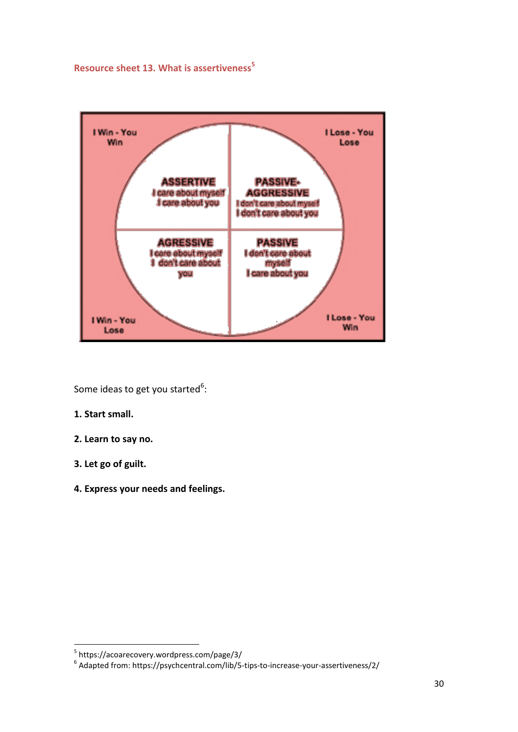**Resource sheet 13. What is assertiveness<sup>5</sup>**



Some ideas to get you started<sup>6</sup>:

- **1. Start small.**
- **2. Learn to say no.**
- **3. Let go of guilt.**
- **4. Express your needs and feelings.**

 5 https://acoarecovery.wordpress.com/page/3/

<sup>6</sup> Adapted from: https://psychcentral.com/lib/5-tips-to-increase-your-assertiveness/2/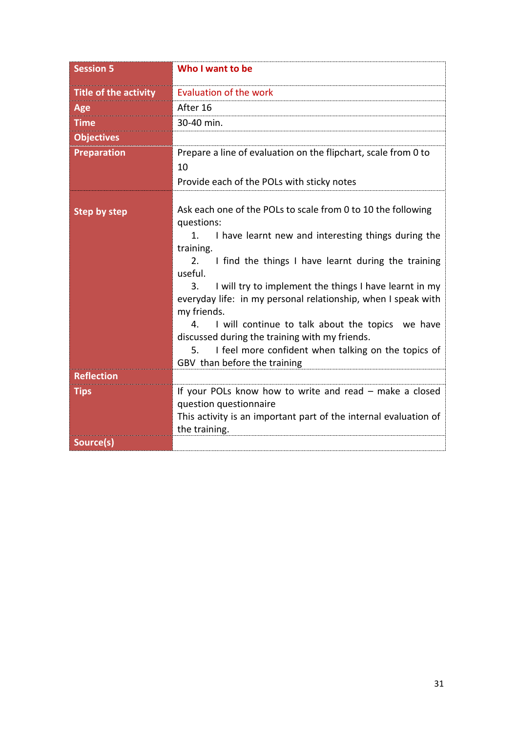| <b>Session 5</b>             | Who I want to be                                                                                                                                                                                                                                                                                                                                                                                                                                                                                                                                                                      |
|------------------------------|---------------------------------------------------------------------------------------------------------------------------------------------------------------------------------------------------------------------------------------------------------------------------------------------------------------------------------------------------------------------------------------------------------------------------------------------------------------------------------------------------------------------------------------------------------------------------------------|
| <b>Title of the activity</b> | <b>Evaluation of the work</b>                                                                                                                                                                                                                                                                                                                                                                                                                                                                                                                                                         |
| Age                          | After 16                                                                                                                                                                                                                                                                                                                                                                                                                                                                                                                                                                              |
| <b>Time</b>                  | 30-40 min.                                                                                                                                                                                                                                                                                                                                                                                                                                                                                                                                                                            |
| <b>Objectives</b>            |                                                                                                                                                                                                                                                                                                                                                                                                                                                                                                                                                                                       |
| <b>Preparation</b>           | Prepare a line of evaluation on the flipchart, scale from 0 to<br>10<br>Provide each of the POLs with sticky notes                                                                                                                                                                                                                                                                                                                                                                                                                                                                    |
| <b>Step by step</b>          | Ask each one of the POLs to scale from 0 to 10 the following<br>questions:<br>1.<br>I have learnt new and interesting things during the<br>training.<br>I find the things I have learnt during the training<br>2.<br>useful.<br>I will try to implement the things I have learnt in my<br>3.<br>everyday life: in my personal relationship, when I speak with<br>my friends.<br>I will continue to talk about the topics we have<br>4.<br>discussed during the training with my friends.<br>I feel more confident when talking on the topics of<br>5.<br>GBV than before the training |
| <b>Reflection</b>            |                                                                                                                                                                                                                                                                                                                                                                                                                                                                                                                                                                                       |
| <b>Tips</b>                  | If your POLs know how to write and read - make a closed<br>question questionnaire<br>This activity is an important part of the internal evaluation of<br>the training.                                                                                                                                                                                                                                                                                                                                                                                                                |
| Source(s)                    |                                                                                                                                                                                                                                                                                                                                                                                                                                                                                                                                                                                       |